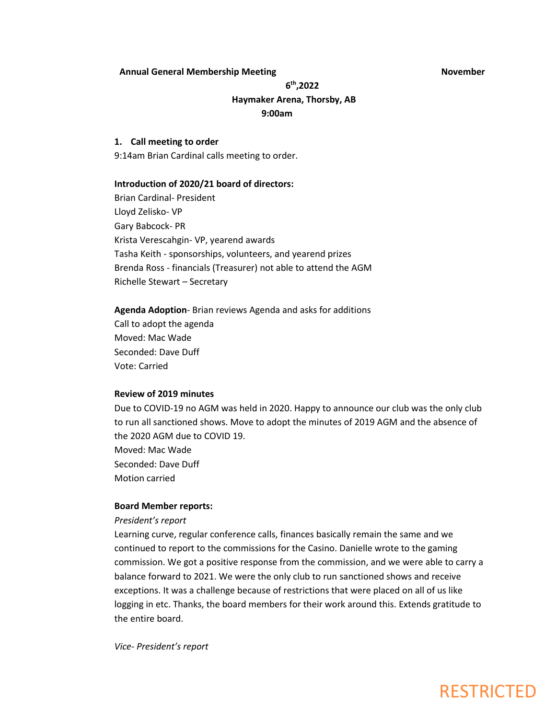### **Annual General Membership Meeting November**

### **6 th,2022 Haymaker Arena, Thorsby, AB 9:00am**

### **1. Call meeting to order**

9:14am Brian Cardinal calls meeting to order.

#### **Introduction of 2020/21 board of directors:**

Brian Cardinal- President Lloyd Zelisko- VP Gary Babcock- PR Krista Verescahgin- VP, yearend awards Tasha Keith - sponsorships, volunteers, and yearend prizes Brenda Ross - financials (Treasurer) not able to attend the AGM Richelle Stewart – Secretary

**Agenda Adoption**- Brian reviews Agenda and asks for additions Call to adopt the agenda Moved: Mac Wade Seconded: Dave Duff Vote: Carried

### **Review of 2019 minutes**

Due to COVID-19 no AGM was held in 2020. Happy to announce our club was the only club to run all sanctioned shows. Move to adopt the minutes of 2019 AGM and the absence of the 2020 AGM due to COVID 19.

Moved: Mac Wade Seconded: Dave Duff Motion carried

### **Board Member reports:**

### *President's report*

Learning curve, regular conference calls, finances basically remain the same and we continued to report to the commissions for the Casino. Danielle wrote to the gaming commission. We got a positive response from the commission, and we were able to carry a balance forward to 2021. We were the only club to run sanctioned shows and receive exceptions. It was a challenge because of restrictions that were placed on all of us like logging in etc. Thanks, the board members for their work around this. Extends gratitude to the entire board.

*Vice- President's report*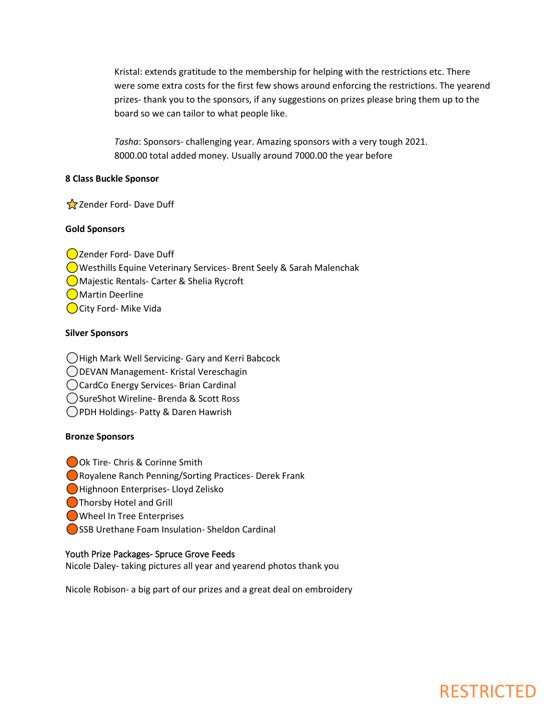Kristal: extends gratitude to the membership for helping with the restrictions etc. There were some extra costs for the first few shows around enforcing the restrictions. The yearend prizes- thank you to the sponsors, if any suggestions on prizes please bring them up to the board so we can tailor to what people like.

*Tasha*: Sponsors- challenging year. Amazing sponsors with a very tough 2021. 8000.00 total added money. Usually around 7000.00 the year before

### **8 Class Buckle Sponsor**

Zender Ford- Dave Duff

### **Gold Sponsors**

**○Zender Ford- Dave Duff**  Westhills Equine Veterinary Services- Brent Seely & Sarah Malenchak Majestic Rentals- Carter & Shelia Rycroft Martin Deerline City Ford- Mike Vida

### **Silver Sponsors**

- High Mark Well Servicing- Gary and Kerri Babcock
- DEVAN Management- Kristal Vereschagin
- CardCo Energy Services- Brian Cardinal
- SureShot Wireline- Brenda & Scott Ross
- PDH Holdings- Patty & Daren Hawrish

### **Bronze Sponsors**

- Ok Tire- Chris & Corinne Smith
- Royalene Ranch Penning/Sorting Practices- Derek Frank
- Highnoon Enterprises- Lloyd Zelisko
- **Thorsby Hotel and Grill**
- Wheel In Tree Enterprises
- SSB Urethane Foam Insulation- Sheldon Cardinal

### Youth Prize Packages- Spruce Grove Feeds

Nicole Daley- taking pictures all year and yearend photos thank you

Nicole Robison- a big part of our prizes and a great deal on embroidery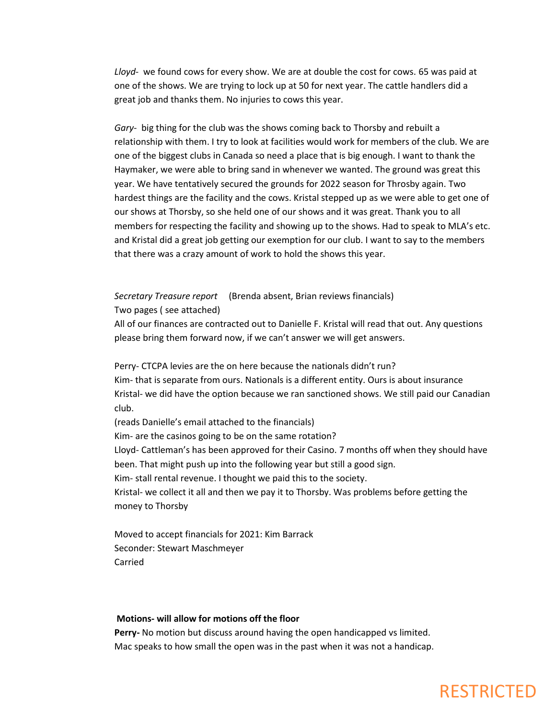*Lloyd*- we found cows for every show. We are at double the cost for cows. 65 was paid at one of the shows. We are trying to lock up at 50 for next year. The cattle handlers did a great job and thanks them. No injuries to cows this year.

*Gary*- big thing for the club was the shows coming back to Thorsby and rebuilt a relationship with them. I try to look at facilities would work for members of the club. We are one of the biggest clubs in Canada so need a place that is big enough. I want to thank the Haymaker, we were able to bring sand in whenever we wanted. The ground was great this year. We have tentatively secured the grounds for 2022 season for Throsby again. Two hardest things are the facility and the cows. Kristal stepped up as we were able to get one of our shows at Thorsby, so she held one of our shows and it was great. Thank you to all members for respecting the facility and showing up to the shows. Had to speak to MLA's etc. and Kristal did a great job getting our exemption for our club. I want to say to the members that there was a crazy amount of work to hold the shows this year.

### *Secretary Treasure report* (Brenda absent, Brian reviews financials) Two pages ( see attached)

All of our finances are contracted out to Danielle F. Kristal will read that out. Any questions please bring them forward now, if we can't answer we will get answers.

Perry- CTCPA levies are the on here because the nationals didn't run?

Kim- that is separate from ours. Nationals is a different entity. Ours is about insurance Kristal- we did have the option because we ran sanctioned shows. We still paid our Canadian club.

(reads Danielle's email attached to the financials)

Kim- are the casinos going to be on the same rotation?

Lloyd- Cattleman's has been approved for their Casino. 7 months off when they should have been. That might push up into the following year but still a good sign.

Kim- stall rental revenue. I thought we paid this to the society.

Kristal- we collect it all and then we pay it to Thorsby. Was problems before getting the money to Thorsby

Moved to accept financials for 2021: Kim Barrack Seconder: Stewart Maschmeyer Carried

### **Motions- will allow for motions off the floor**

**Perry-** No motion but discuss around having the open handicapped vs limited. Mac speaks to how small the open was in the past when it was not a handicap.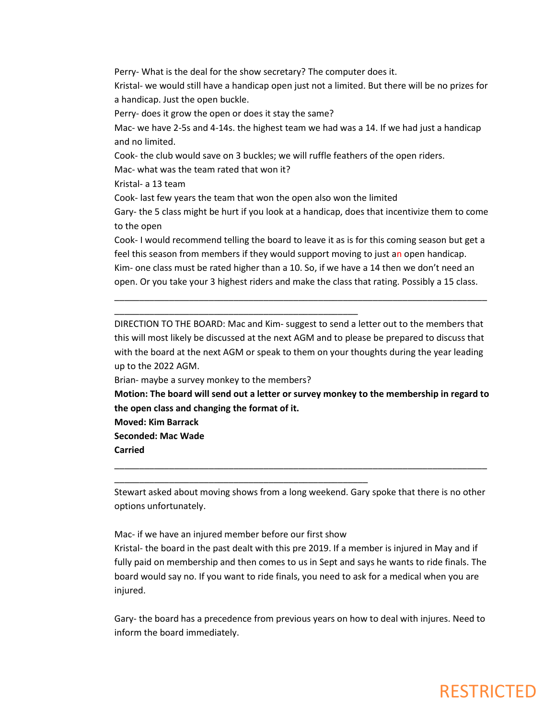Perry- What is the deal for the show secretary? The computer does it.

Kristal- we would still have a handicap open just not a limited. But there will be no prizes for a handicap. Just the open buckle.

Perry- does it grow the open or does it stay the same?

Mac- we have 2-5s and 4-14s. the highest team we had was a 14. If we had just a handicap and no limited.

Cook- the club would save on 3 buckles; we will ruffle feathers of the open riders.

Mac- what was the team rated that won it?

Kristal- a 13 team

Cook- last few years the team that won the open also won the limited

Gary- the 5 class might be hurt if you look at a handicap, does that incentivize them to come to the open

Cook- I would recommend telling the board to leave it as is for this coming season but get a feel this season from members if they would support moving to just an open handicap. Kim- one class must be rated higher than a 10. So, if we have a 14 then we don't need an open. Or you take your 3 highest riders and make the class that rating. Possibly a 15 class.

\_\_\_\_\_\_\_\_\_\_\_\_\_\_\_\_\_\_\_\_\_\_\_\_\_\_\_\_\_\_\_\_\_\_\_\_\_\_\_\_\_\_\_\_\_\_\_\_\_\_\_\_\_\_\_\_\_\_\_\_\_\_\_\_\_\_\_\_\_\_\_\_\_\_\_

DIRECTION TO THE BOARD: Mac and Kim- suggest to send a letter out to the members that this will most likely be discussed at the next AGM and to please be prepared to discuss that with the board at the next AGM or speak to them on your thoughts during the year leading up to the 2022 AGM.

Brian- maybe a survey monkey to the members?

\_\_\_\_\_\_\_\_\_\_\_\_\_\_\_\_\_\_\_\_\_\_\_\_\_\_\_\_\_\_\_\_\_\_\_\_\_\_\_\_\_\_\_\_\_\_\_\_\_

\_\_\_\_\_\_\_\_\_\_\_\_\_\_\_\_\_\_\_\_\_\_\_\_\_\_\_\_\_\_\_\_\_\_\_\_\_\_\_\_\_\_\_\_\_\_\_\_\_\_\_

**Motion: The board will send out a letter or survey monkey to the membership in regard to the open class and changing the format of it.**

**Moved: Kim Barrack Seconded: Mac Wade Carried**

Stewart asked about moving shows from a long weekend. Gary spoke that there is no other options unfortunately.

\_\_\_\_\_\_\_\_\_\_\_\_\_\_\_\_\_\_\_\_\_\_\_\_\_\_\_\_\_\_\_\_\_\_\_\_\_\_\_\_\_\_\_\_\_\_\_\_\_\_\_\_\_\_\_\_\_\_\_\_\_\_\_\_\_\_\_\_\_\_\_\_\_\_\_

Mac- if we have an injured member before our first show Kristal- the board in the past dealt with this pre 2019. If a member is injured in May and if fully paid on membership and then comes to us in Sept and says he wants to ride finals. The board would say no. If you want to ride finals, you need to ask for a medical when you are injured.

Gary- the board has a precedence from previous years on how to deal with injures. Need to inform the board immediately.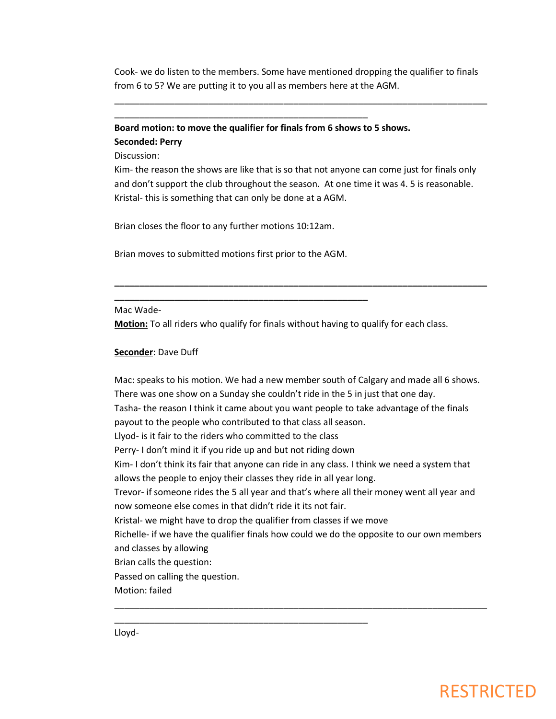Cook- we do listen to the members. Some have mentioned dropping the qualifier to finals from 6 to 5? We are putting it to you all as members here at the AGM.

\_\_\_\_\_\_\_\_\_\_\_\_\_\_\_\_\_\_\_\_\_\_\_\_\_\_\_\_\_\_\_\_\_\_\_\_\_\_\_\_\_\_\_\_\_\_\_\_\_\_\_\_\_\_\_\_\_\_\_\_\_\_\_\_\_\_\_\_\_\_\_\_\_\_\_

### **Board motion: to move the qualifier for finals from 6 shows to 5 shows. Seconded: Perry**

\_\_\_\_\_\_\_\_\_\_\_\_\_\_\_\_\_\_\_\_\_\_\_\_\_\_\_\_\_\_\_\_\_\_\_\_\_\_\_\_\_\_\_\_\_\_\_\_\_\_\_

Discussion:

Kim- the reason the shows are like that is so that not anyone can come just for finals only and don't support the club throughout the season. At one time it was 4. 5 is reasonable. Kristal- this is something that can only be done at a AGM.

**\_\_\_\_\_\_\_\_\_\_\_\_\_\_\_\_\_\_\_\_\_\_\_\_\_\_\_\_\_\_\_\_\_\_\_\_\_\_\_\_\_\_\_\_\_\_\_\_\_\_\_\_\_\_\_\_\_\_\_\_\_\_\_\_\_\_\_\_\_\_\_\_\_\_\_**

Brian closes the floor to any further motions 10:12am.

Brian moves to submitted motions first prior to the AGM.

**\_\_\_\_\_\_\_\_\_\_\_\_\_\_\_\_\_\_\_\_\_\_\_\_\_\_\_\_\_\_\_\_\_\_\_\_\_\_\_\_\_\_\_\_\_\_\_\_\_\_\_**

\_\_\_\_\_\_\_\_\_\_\_\_\_\_\_\_\_\_\_\_\_\_\_\_\_\_\_\_\_\_\_\_\_\_\_\_\_\_\_\_\_\_\_\_\_\_\_\_\_\_\_

Mac Wade-

**Motion:** To all riders who qualify for finals without having to qualify for each class.

#### **Seconder**: Dave Duff

Mac: speaks to his motion. We had a new member south of Calgary and made all 6 shows. There was one show on a Sunday she couldn't ride in the 5 in just that one day. Tasha- the reason I think it came about you want people to take advantage of the finals payout to the people who contributed to that class all season. Llyod- is it fair to the riders who committed to the class Perry- I don't mind it if you ride up and but not riding down Kim- I don't think its fair that anyone can ride in any class. I think we need a system that allows the people to enjoy their classes they ride in all year long. Trevor- if someone rides the 5 all year and that's where all their money went all year and now someone else comes in that didn't ride it its not fair. Kristal- we might have to drop the qualifier from classes if we move Richelle- if we have the qualifier finals how could we do the opposite to our own members and classes by allowing Brian calls the question: Passed on calling the question. Motion: failed \_\_\_\_\_\_\_\_\_\_\_\_\_\_\_\_\_\_\_\_\_\_\_\_\_\_\_\_\_\_\_\_\_\_\_\_\_\_\_\_\_\_\_\_\_\_\_\_\_\_\_\_\_\_\_\_\_\_\_\_\_\_\_\_\_\_\_\_\_\_\_\_\_\_\_

Lloyd-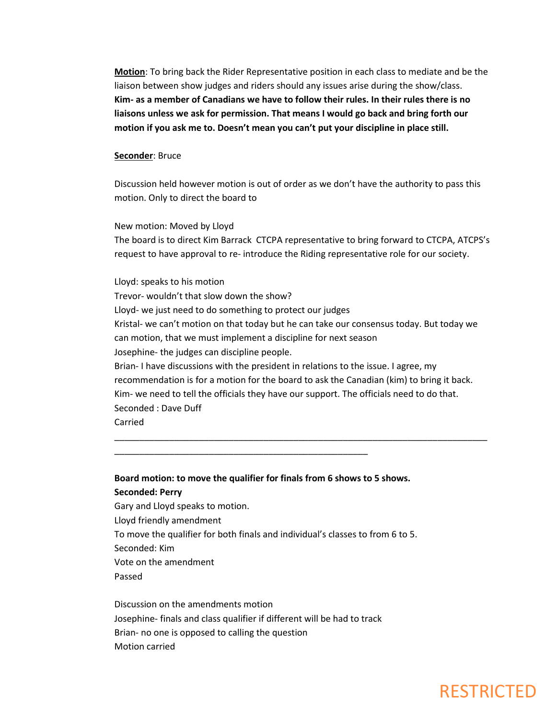**Motion**: To bring back the Rider Representative position in each class to mediate and be the liaison between show judges and riders should any issues arise during the show/class. **Kim- as a member of Canadians we have to follow their rules. In their rules there is no liaisons unless we ask for permission. That means I would go back and bring forth our motion if you ask me to. Doesn't mean you can't put your discipline in place still.** 

#### **Seconder**: Bruce

Discussion held however motion is out of order as we don't have the authority to pass this motion. Only to direct the board to

New motion: Moved by Lloyd The board is to direct Kim Barrack CTCPA representative to bring forward to CTCPA, ATCPS's request to have approval to re- introduce the Riding representative role for our society.

Lloyd: speaks to his motion Trevor- wouldn't that slow down the show? Lloyd- we just need to do something to protect our judges Kristal- we can't motion on that today but he can take our consensus today. But today we can motion, that we must implement a discipline for next season Josephine- the judges can discipline people. Brian- I have discussions with the president in relations to the issue. I agree, my recommendation is for a motion for the board to ask the Canadian (kim) to bring it back. Kim- we need to tell the officials they have our support. The officials need to do that. Seconded : Dave Duff

\_\_\_\_\_\_\_\_\_\_\_\_\_\_\_\_\_\_\_\_\_\_\_\_\_\_\_\_\_\_\_\_\_\_\_\_\_\_\_\_\_\_\_\_\_\_\_\_\_\_\_\_\_\_\_\_\_\_\_\_\_\_\_\_\_\_\_\_\_\_\_\_\_\_\_

Carried

### **Board motion: to move the qualifier for finals from 6 shows to 5 shows. Seconded: Perry**

\_\_\_\_\_\_\_\_\_\_\_\_\_\_\_\_\_\_\_\_\_\_\_\_\_\_\_\_\_\_\_\_\_\_\_\_\_\_\_\_\_\_\_\_\_\_\_\_\_\_\_

Gary and Lloyd speaks to motion. Lloyd friendly amendment To move the qualifier for both finals and individual's classes to from 6 to 5. Seconded: Kim Vote on the amendment Passed

Discussion on the amendments motion Josephine- finals and class qualifier if different will be had to track Brian- no one is opposed to calling the question Motion carried